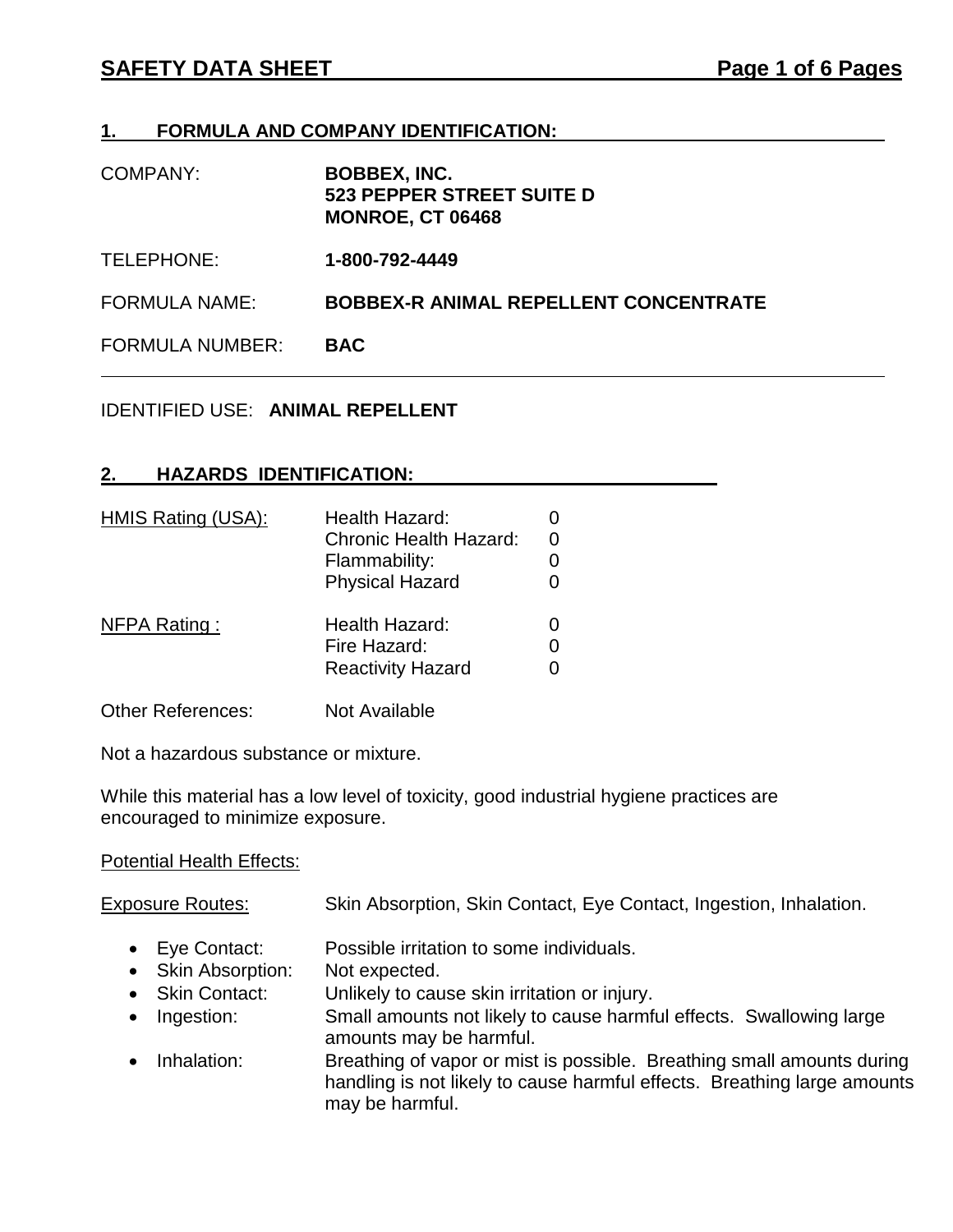## **1. FORMULA AND COMPANY IDENTIFICATION:**

| COMPANY: | <b>BOBBEX, INC.</b>       |
|----------|---------------------------|
|          | 523 PEPPER STREET SUITE D |
|          | <b>MONROE, CT 06468</b>   |

TELEPHONE: **1-800-792-4449**

FORMULA NAME: **BOBBEX-R ANIMAL REPELLENT CONCENTRATE**

FORMULA NUMBER: **BAC**

### IDENTIFIED USE: **ANIMAL REPELLENT**

## **2. HAZARDS IDENTIFICATION:**

| HMIS Rating (USA): | Health Hazard:                |  |
|--------------------|-------------------------------|--|
|                    | <b>Chronic Health Hazard:</b> |  |
|                    | Flammability:                 |  |
|                    | <b>Physical Hazard</b>        |  |
| NFPA Rating:       | Health Hazard:                |  |
|                    | Fire Hazard:                  |  |
|                    | <b>Reactivity Hazard</b>      |  |

Other References: Not Available

Not a hazardous substance or mixture.

While this material has a low level of toxicity, good industrial hygiene practices are encouraged to minimize exposure.

#### **Potential Health Effects:**

| <b>Exposure Routes:</b> | Skin Absorption, Skin Contact, Eye Contact, Ingestion, Inhalation. |  |  |
|-------------------------|--------------------------------------------------------------------|--|--|
|-------------------------|--------------------------------------------------------------------|--|--|

- Eye Contact: Possible irritation to some individuals.
- Skin Absorption: Not expected.
- Skin Contact: Unlikely to cause skin irritation or injury.
- Ingestion: Small amounts not likely to cause harmful effects. Swallowing large amounts may be harmful.
- Inhalation: Breathing of vapor or mist is possible. Breathing small amounts during handling is not likely to cause harmful effects. Breathing large amounts may be harmful.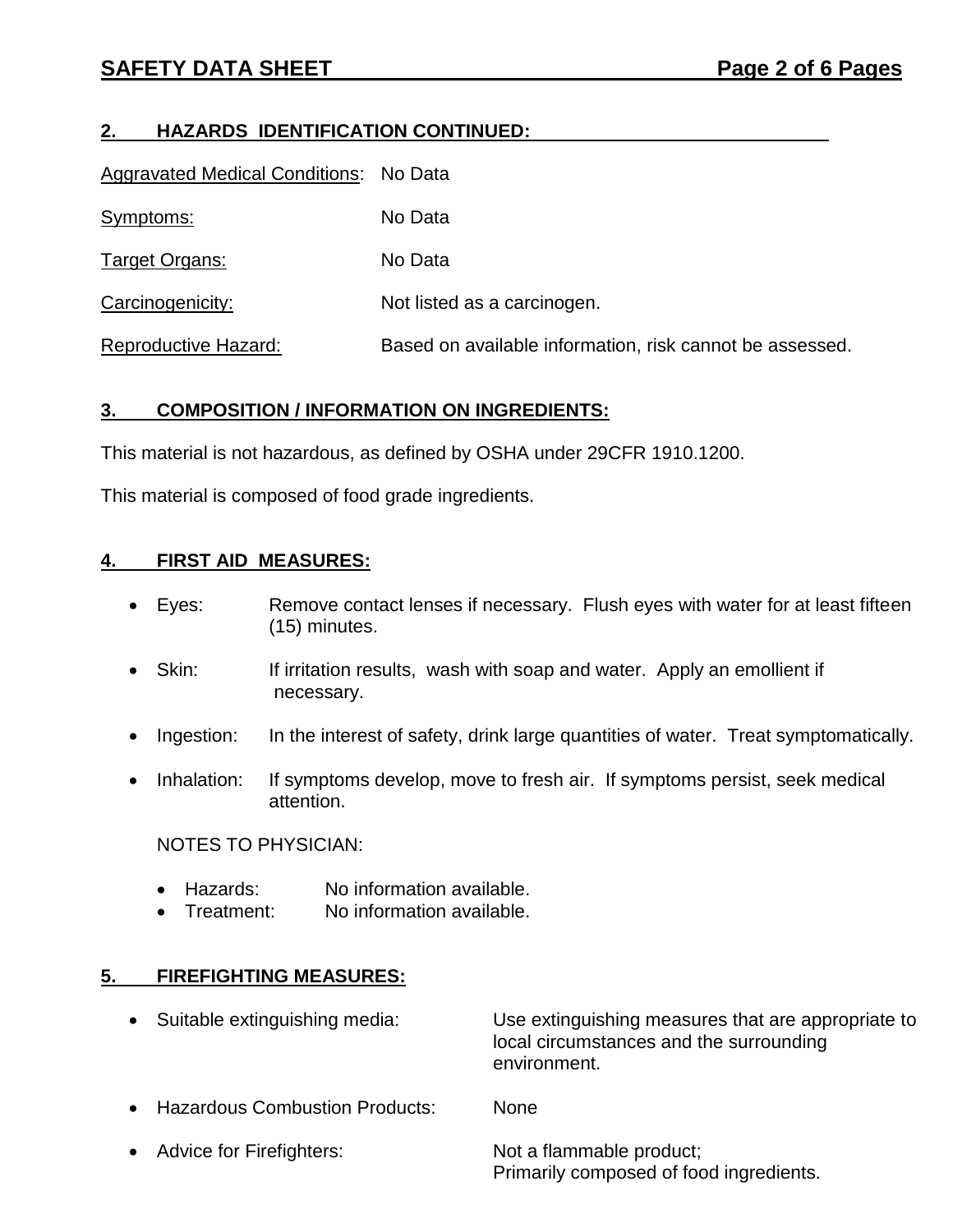# **2. HAZARDS IDENTIFICATION CONTINUED:**

| Aggravated Medical Conditions: No Data |                                                          |
|----------------------------------------|----------------------------------------------------------|
| Symptoms:                              | No Data                                                  |
| Target Organs:                         | No Data                                                  |
| Carcinogenicity:                       | Not listed as a carcinogen.                              |
| Reproductive Hazard:                   | Based on available information, risk cannot be assessed. |

# **3. COMPOSITION / INFORMATION ON INGREDIENTS:**

This material is not hazardous, as defined by OSHA under 29CFR 1910.1200.

This material is composed of food grade ingredients.

## **4. FIRST AID MEASURES:**

- Eyes: Remove contact lenses if necessary. Flush eyes with water for at least fifteen (15) minutes.
- Skin: If irritation results, wash with soap and water. Apply an emollient if necessary.
- Ingestion: In the interest of safety, drink large quantities of water. Treat symptomatically.
- Inhalation: If symptoms develop, move to fresh air. If symptoms persist, seek medical attention.

NOTES TO PHYSICIAN:

- Hazards: No information available.
- Treatment: No information available.

# **5. FIREFIGHTING MEASURES:**

- Suitable extinguishing media: Use extinguishing measures that are appropriate to local circumstances and the surrounding environment.
- Hazardous Combustion Products: None
- Advice for Firefighters: Not a flammable product; Primarily composed of food ingredients.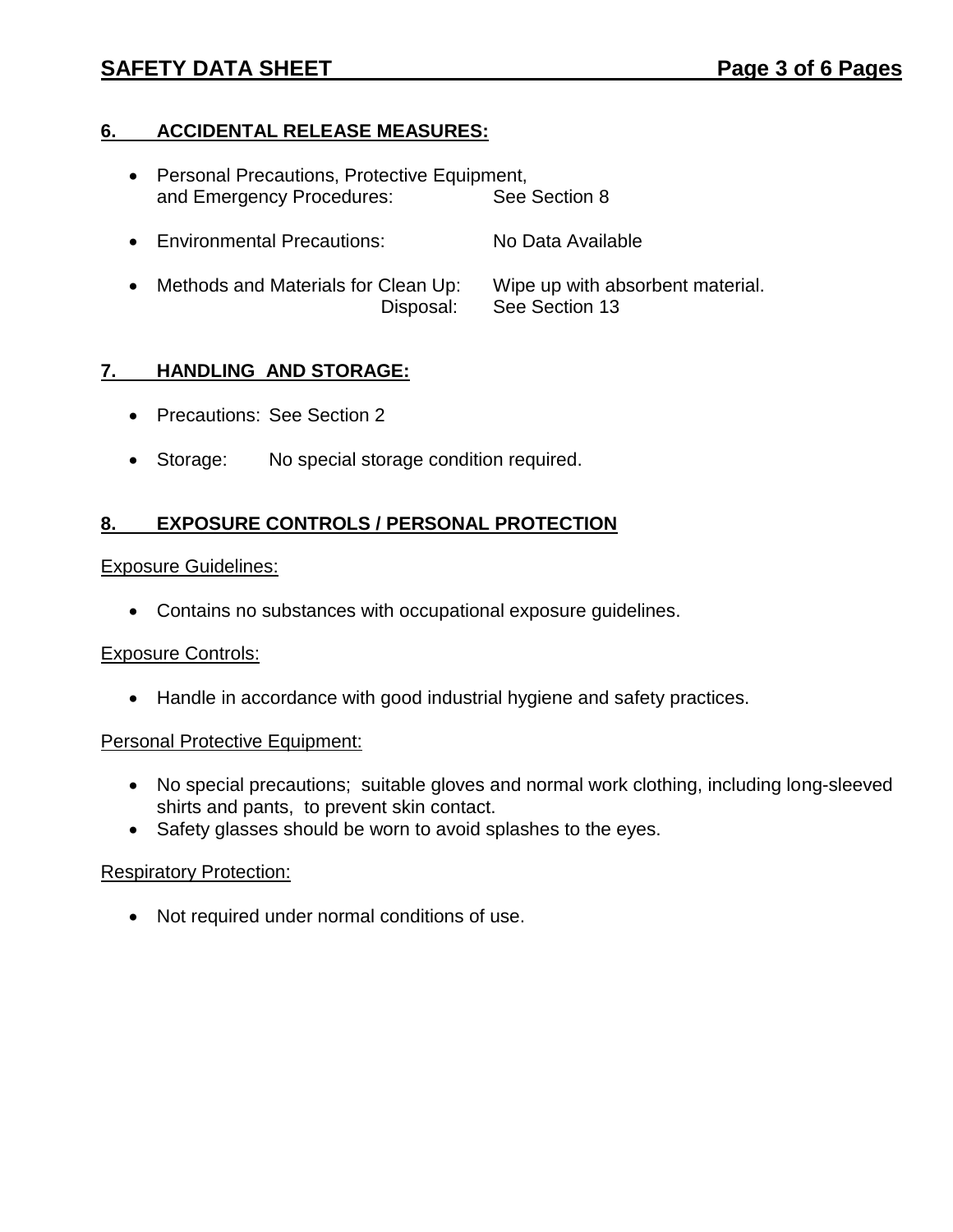# **SAFETY DATA SHEET Page 3 of 6 Pages**

# **6. ACCIDENTAL RELEASE MEASURES:**

- Personal Precautions, Protective Equipment, and Emergency Procedures: See Section 8
- Environmental Precautions: No Data Available
- Methods and Materials for Clean Up: Wipe up with absorbent material. Disposal: See Section 13

## **7. HANDLING AND STORAGE:**

- Precautions: See Section 2
- Storage: No special storage condition required.

### **8. EXPOSURE CONTROLS / PERSONAL PROTECTION**

#### Exposure Guidelines:

Contains no substances with occupational exposure guidelines.

#### Exposure Controls:

Handle in accordance with good industrial hygiene and safety practices.

#### Personal Protective Equipment:

- No special precautions; suitable gloves and normal work clothing, including long-sleeved shirts and pants, to prevent skin contact.
- Safety glasses should be worn to avoid splashes to the eyes.

#### Respiratory Protection:

• Not required under normal conditions of use.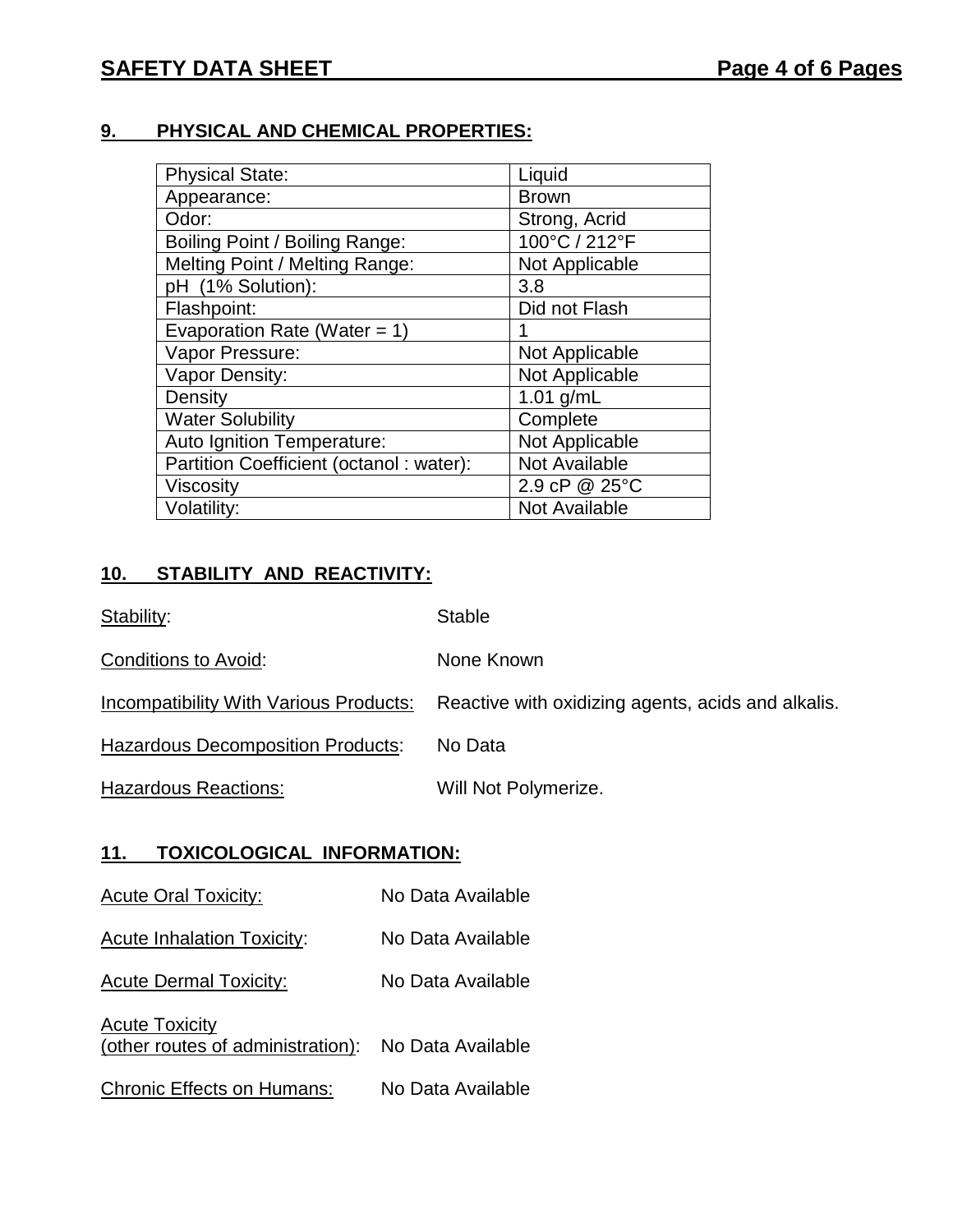# **9. PHYSICAL AND CHEMICAL PROPERTIES:**

| <b>Physical State:</b>                  | Liquid               |
|-----------------------------------------|----------------------|
| Appearance:                             | <b>Brown</b>         |
| Odor:                                   | Strong, Acrid        |
| Boiling Point / Boiling Range:          | 100°C / 212°F        |
| Melting Point / Melting Range:          | Not Applicable       |
| pH (1% Solution):                       | 3.8                  |
| Flashpoint:                             | Did not Flash        |
| Evaporation Rate (Water = $1$ )         |                      |
| Vapor Pressure:                         | Not Applicable       |
| Vapor Density:                          | Not Applicable       |
| Density                                 | 1.01 $g/mL$          |
| <b>Water Solubility</b>                 | Complete             |
| Auto Ignition Temperature:              | Not Applicable       |
| Partition Coefficient (octanol: water): | <b>Not Available</b> |
| Viscosity                               | 2.9 cP @ 25°C        |
| Volatility:                             | <b>Not Available</b> |

# **10. STABILITY AND REACTIVITY:**

| Stability:                               | <b>Stable</b>                                      |
|------------------------------------------|----------------------------------------------------|
| Conditions to Avoid:                     | None Known                                         |
| Incompatibility With Various Products:   | Reactive with oxidizing agents, acids and alkalis. |
| <b>Hazardous Decomposition Products:</b> | No Data                                            |
| <b>Hazardous Reactions:</b>              | Will Not Polymerize.                               |

## **11. TOXICOLOGICAL INFORMATION:**

- Acute Oral Toxicity: No Data Available
- Acute Inhalation Toxicity: No Data Available
- Acute Dermal Toxicity: No Data Available
- **Acute Toxicity** (other routes of administration): No Data Available
- Chronic Effects on Humans: No Data Available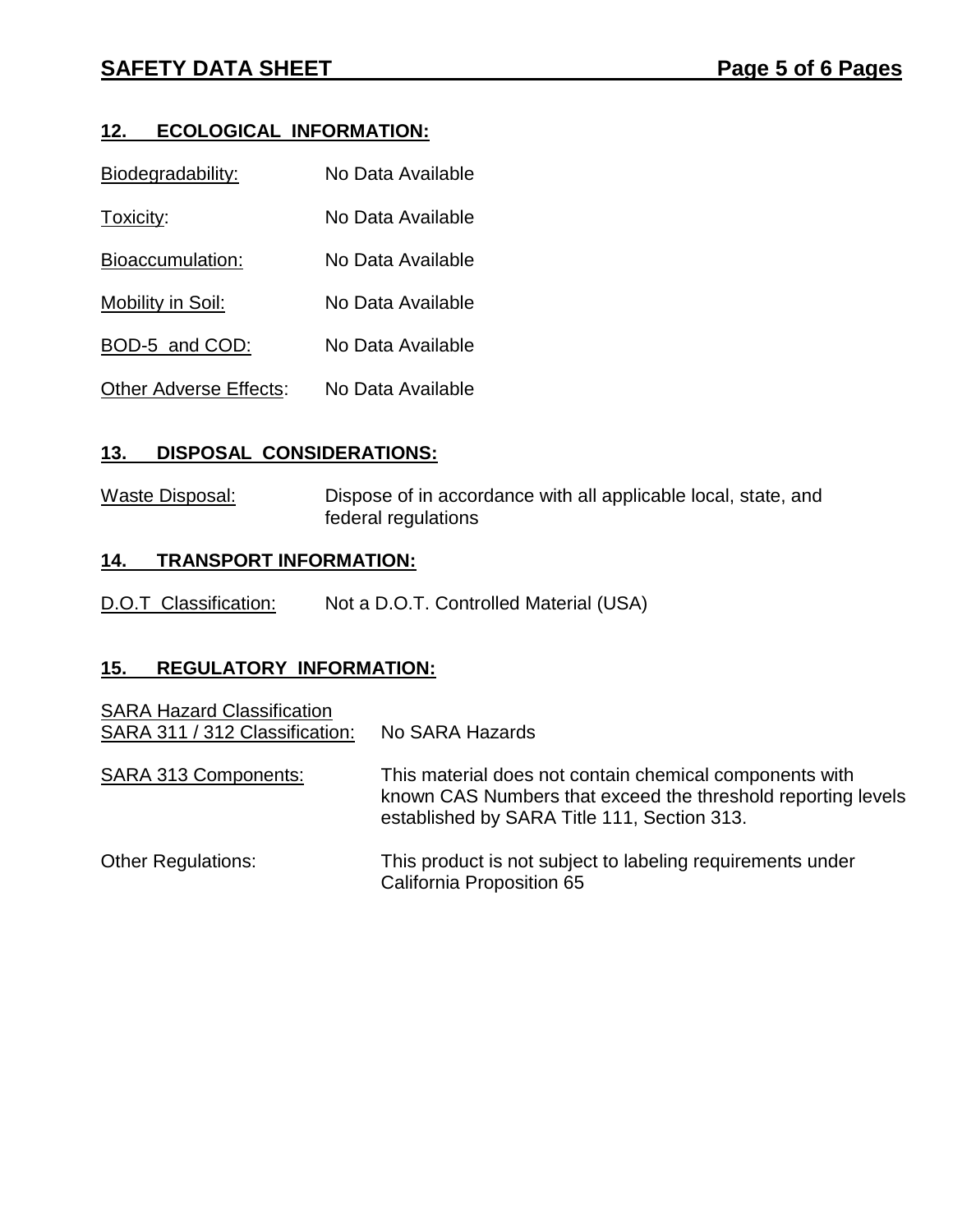# **12. ECOLOGICAL INFORMATION:**

| Biodegradability:             | No Data Available |
|-------------------------------|-------------------|
| Toxicity:                     | No Data Available |
| Bioaccumulation:              | No Data Available |
| Mobility in Soil:             | No Data Available |
| BOD-5 and COD:                | No Data Available |
| <b>Other Adverse Effects:</b> | No Data Available |

# **13. DISPOSAL CONSIDERATIONS:**

Waste Disposal: Dispose of in accordance with all applicable local, state, and federal regulations

## **14. TRANSPORT INFORMATION:**

D.O.T Classification: Not a D.O.T. Controlled Material (USA)

## **15. REGULATORY INFORMATION:**

| <b>SARA Hazard Classification</b><br>SARA 311 / 312 Classification: | No SARA Hazards                                                                                                                                                        |
|---------------------------------------------------------------------|------------------------------------------------------------------------------------------------------------------------------------------------------------------------|
| <b>SARA 313 Components:</b>                                         | This material does not contain chemical components with<br>known CAS Numbers that exceed the threshold reporting levels<br>established by SARA Title 111, Section 313. |
| <b>Other Regulations:</b>                                           | This product is not subject to labeling requirements under<br>California Proposition 65                                                                                |